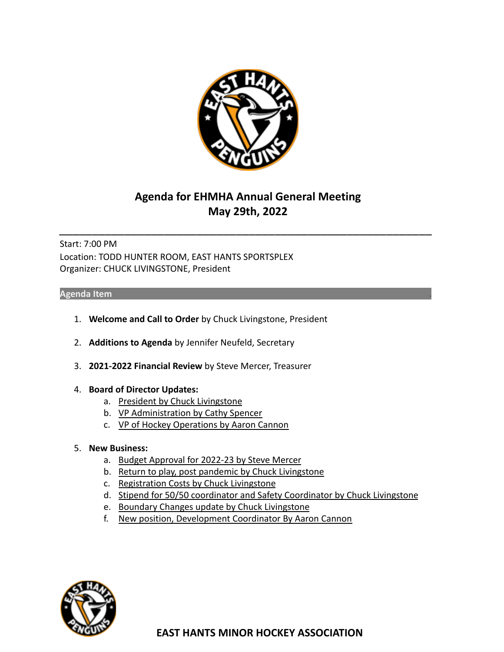

# **Agenda for EHMHA Annual General Meeting May 29th, 2022**

\_\_\_\_\_\_\_\_\_\_\_\_\_\_\_\_\_\_\_\_\_\_\_\_\_\_\_\_\_\_\_\_\_\_\_\_\_\_\_\_\_\_\_\_\_\_\_\_\_\_\_\_\_\_\_\_\_

Start: 7:00 PM Location: TODD HUNTER ROOM, EAST HANTS SPORTSPLEX Organizer: CHUCK LIVINGSTONE, President

#### **Agenda Item .**

- 1. **Welcome and Call to Order** by Chuck Livingstone, President
- 2. **Additions to Agenda** by Jennifer Neufeld, Secretary
- 3. **2021-2022 Financial Review** by Steve Mercer, Treasurer
- 4. **Board of Director Updates:**
	- a. President by Chuck Livingstone
	- b. VP Administration by Cathy Spencer
	- c. VP of Hockey Operations by Aaron Cannon
- 5. **New Business:**
	- a. Budget Approval for 2022-23 by Steve Mercer
	- b. Return to play, post pandemic by Chuck Livingstone
	- c. Registration Costs by Chuck Livingstone
	- d. Stipend for 50/50 coordinator and Safety Coordinator by Chuck Livingstone
	- e. Boundary Changes update by Chuck Livingstone
	- f. New position, Development Coordinator By Aaron Cannon